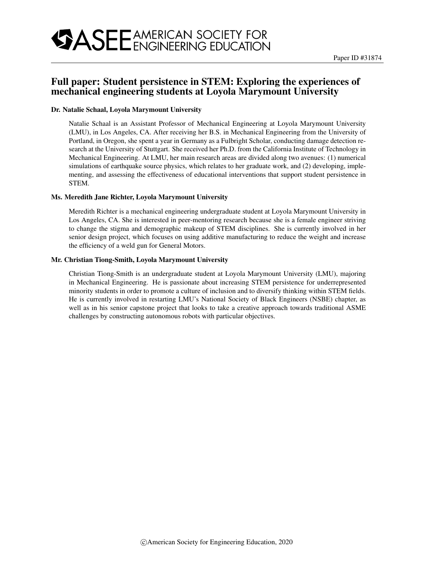# Full paper: Student persistence in STEM: Exploring the experiences of mechanical engineering students at Loyola Marymount University

### Dr. Natalie Schaal, Loyola Marymount University

Natalie Schaal is an Assistant Professor of Mechanical Engineering at Loyola Marymount University (LMU), in Los Angeles, CA. After receiving her B.S. in Mechanical Engineering from the University of Portland, in Oregon, she spent a year in Germany as a Fulbright Scholar, conducting damage detection research at the University of Stuttgart. She received her Ph.D. from the California Institute of Technology in Mechanical Engineering. At LMU, her main research areas are divided along two avenues: (1) numerical simulations of earthquake source physics, which relates to her graduate work, and (2) developing, implementing, and assessing the effectiveness of educational interventions that support student persistence in STEM.

### Ms. Meredith Jane Richter, Loyola Marymount University

Meredith Richter is a mechanical engineering undergraduate student at Loyola Marymount University in Los Angeles, CA. She is interested in peer-mentoring research because she is a female engineer striving to change the stigma and demographic makeup of STEM disciplines. She is currently involved in her senior design project, which focuses on using additive manufacturing to reduce the weight and increase the efficiency of a weld gun for General Motors.

#### Mr. Christian Tiong-Smith, Loyola Marymount University

Christian Tiong-Smith is an undergraduate student at Loyola Marymount University (LMU), majoring in Mechanical Engineering. He is passionate about increasing STEM persistence for underrepresented minority students in order to promote a culture of inclusion and to diversify thinking within STEM fields. He is currently involved in restarting LMU's National Society of Black Engineers (NSBE) chapter, as well as in his senior capstone project that looks to take a creative approach towards traditional ASME challenges by constructing autonomous robots with particular objectives.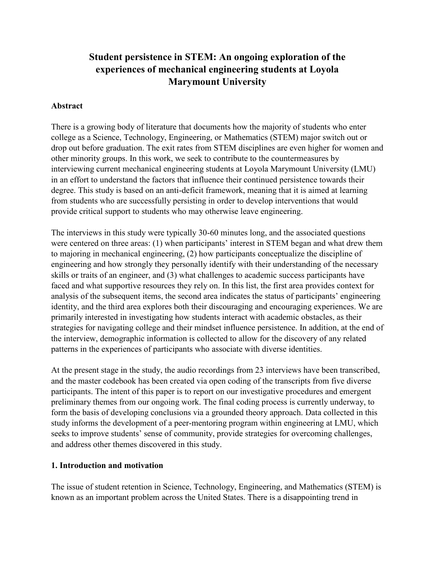# **Student persistence in STEM: An ongoing exploration of the experiences of mechanical engineering students at Loyola Marymount University**

# **Abstract**

There is a growing body of literature that documents how the majority of students who enter college as a Science, Technology, Engineering, or Mathematics (STEM) major switch out or drop out before graduation. The exit rates from STEM disciplines are even higher for women and other minority groups. In this work, we seek to contribute to the countermeasures by interviewing current mechanical engineering students at Loyola Marymount University (LMU) in an effort to understand the factors that influence their continued persistence towards their degree. This study is based on an anti-deficit framework, meaning that it is aimed at learning from students who are successfully persisting in order to develop interventions that would provide critical support to students who may otherwise leave engineering.

The interviews in this study were typically 30-60 minutes long, and the associated questions were centered on three areas: (1) when participants' interest in STEM began and what drew them to majoring in mechanical engineering, (2) how participants conceptualize the discipline of engineering and how strongly they personally identify with their understanding of the necessary skills or traits of an engineer, and (3) what challenges to academic success participants have faced and what supportive resources they rely on. In this list, the first area provides context for analysis of the subsequent items, the second area indicates the status of participants' engineering identity, and the third area explores both their discouraging and encouraging experiences. We are primarily interested in investigating how students interact with academic obstacles, as their strategies for navigating college and their mindset influence persistence. In addition, at the end of the interview, demographic information is collected to allow for the discovery of any related patterns in the experiences of participants who associate with diverse identities.

At the present stage in the study, the audio recordings from 23 interviews have been transcribed, and the master codebook has been created via open coding of the transcripts from five diverse participants. The intent of this paper is to report on our investigative procedures and emergent preliminary themes from our ongoing work. The final coding process is currently underway, to form the basis of developing conclusions via a grounded theory approach. Data collected in this study informs the development of a peer-mentoring program within engineering at LMU, which seeks to improve students' sense of community, provide strategies for overcoming challenges, and address other themes discovered in this study.

# **1. Introduction and motivation**

The issue of student retention in Science, Technology, Engineering, and Mathematics (STEM) is known as an important problem across the United States. There is a disappointing trend in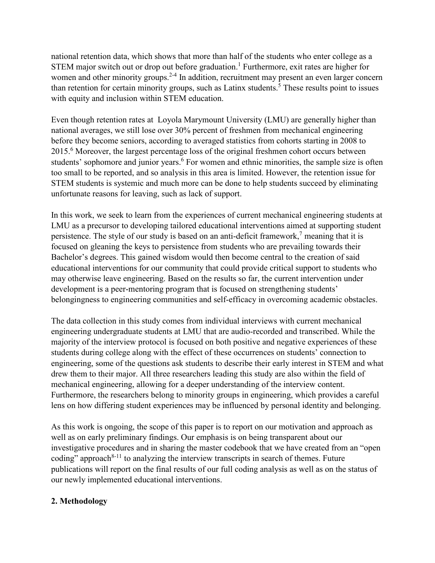national retention data, which shows that more than half of the students who enter college as a STEM major switch out or drop out before graduation.<sup>1</sup> Furthermore, exit rates are higher for women and other minority groups.<sup>2-4</sup> In addition, recruitment may present an even larger concern than retention for certain minority groups, such as Latinx students.<sup>5</sup> These results point to issues with equity and inclusion within STEM education.

Even though retention rates at Loyola Marymount University (LMU) are generally higher than national averages, we still lose over 30% percent of freshmen from mechanical engineering before they become seniors, according to averaged statistics from cohorts starting in 2008 to 2015.<sup>6</sup> Moreover, the largest percentage loss of the original freshmen cohort occurs between students' sophomore and junior years.<sup>6</sup> For women and ethnic minorities, the sample size is often too small to be reported, and so analysis in this area is limited. However, the retention issue for STEM students is systemic and much more can be done to help students succeed by eliminating unfortunate reasons for leaving, such as lack of support.

In this work, we seek to learn from the experiences of current mechanical engineering students at LMU as a precursor to developing tailored educational interventions aimed at supporting student persistence. The style of our study is based on an anti-deficit framework,<sup>7</sup> meaning that it is focused on gleaning the keys to persistence from students who are prevailing towards their Bachelor's degrees. This gained wisdom would then become central to the creation of said educational interventions for our community that could provide critical support to students who may otherwise leave engineering. Based on the results so far, the current intervention under development is a peer-mentoring program that is focused on strengthening students' belongingness to engineering communities and self-efficacy in overcoming academic obstacles.

The data collection in this study comes from individual interviews with current mechanical engineering undergraduate students at LMU that are audio-recorded and transcribed. While the majority of the interview protocol is focused on both positive and negative experiences of these students during college along with the effect of these occurrences on students' connection to engineering, some of the questions ask students to describe their early interest in STEM and what drew them to their major. All three researchers leading this study are also within the field of mechanical engineering, allowing for a deeper understanding of the interview content. Furthermore, the researchers belong to minority groups in engineering, which provides a careful lens on how differing student experiences may be influenced by personal identity and belonging.

As this work is ongoing, the scope of this paper is to report on our motivation and approach as well as on early preliminary findings. Our emphasis is on being transparent about our investigative procedures and in sharing the master codebook that we have created from an "open coding" approach<sup>8-11</sup> to analyzing the interview transcripts in search of themes. Future publications will report on the final results of our full coding analysis as well as on the status of our newly implemented educational interventions.

# **2. Methodology**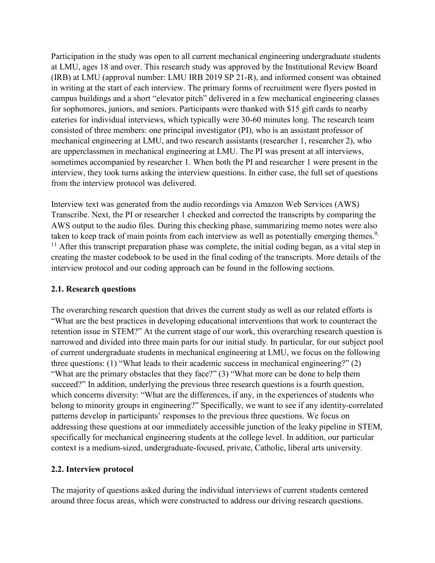Participation in the study was open to all current mechanical engineering undergraduate students at LMU, ages 18 and over. This research study was approved by the Institutional Review Board (IRB) at LMU (approval number: LMU IRB 2019 SP 21-R), and informed consent was obtained in writing at the start of each interview. The primary forms of recruitment were flyers posted in campus buildings and a short "elevator pitch" delivered in a few mechanical engineering classes for sophomores, juniors, and seniors. Participants were thanked with \$15 gift cards to nearby eateries for individual interviews, which typically were 30-60 minutes long. The research team consisted of three members: one principal investigator (PI), who is an assistant professor of mechanical engineering at LMU, and two research assistants (researcher 1, researcher 2), who are upperclassmen in mechanical engineering at LMU. The PI was present at all interviews, sometimes accompanied by researcher 1. When both the PI and researcher 1 were present in the interview, they took turns asking the interview questions. In either case, the full set of questions from the interview protocol was delivered.

Interview text was generated from the audio recordings via Amazon Web Services (AWS) Transcribe. Next, the PI or researcher 1 checked and corrected the transcripts by comparing the AWS output to the audio files. During this checking phase, summarizing memo notes were also taken to keep track of main points from each interview as well as potentially emerging themes.<sup>9,</sup>  $11$  After this transcript preparation phase was complete, the initial coding began, as a vital step in creating the master codebook to be used in the final coding of the transcripts. More details of the interview protocol and our coding approach can be found in the following sections.

## **2.1. Research questions**

The overarching research question that drives the current study as well as our related efforts is "What are the best practices in developing educational interventions that work to counteract the retention issue in STEM?" At the current stage of our work, this overarching research question is narrowed and divided into three main parts for our initial study. In particular, for our subject pool of current undergraduate students in mechanical engineering at LMU, we focus on the following three questions: (1) "What leads to their academic success in mechanical engineering?" (2) "What are the primary obstacles that they face?" (3) "What more can be done to help them succeed?" In addition, underlying the previous three research questions is a fourth question, which concerns diversity: "What are the differences, if any, in the experiences of students who belong to minority groups in engineering?" Specifically, we want to see if any identity-correlated patterns develop in participants' responses to the previous three questions. We focus on addressing these questions at our immediately accessible junction of the leaky pipeline in STEM, specifically for mechanical engineering students at the college level. In addition, our particular context is a medium-sized, undergraduate-focused, private, Catholic, liberal arts university.

## **2.2. Interview protocol**

The majority of questions asked during the individual interviews of current students centered around three focus areas, which were constructed to address our driving research questions.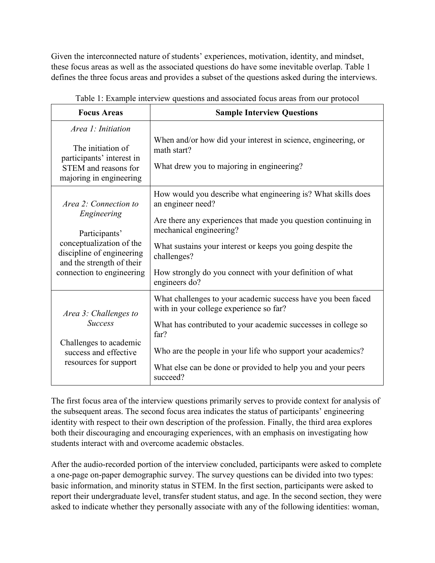Given the interconnected nature of students' experiences, motivation, identity, and mindset, these focus areas as well as the associated questions do have some inevitable overlap. Table 1 defines the three focus areas and provides a subset of the questions asked during the interviews.

| <b>Focus Areas</b>                                                                                                                                                       | <b>Sample Interview Questions</b>                                                                                                                                                                                                                                                                                                        |  |
|--------------------------------------------------------------------------------------------------------------------------------------------------------------------------|------------------------------------------------------------------------------------------------------------------------------------------------------------------------------------------------------------------------------------------------------------------------------------------------------------------------------------------|--|
| Area 1: Initiation<br>The initiation of<br>participants' interest in<br>STEM and reasons for<br>majoring in engineering                                                  | When and/or how did your interest in science, engineering, or<br>math start?<br>What drew you to majoring in engineering?                                                                                                                                                                                                                |  |
| Area 2: Connection to<br>Engineering<br>Participants'<br>conceptualization of the<br>discipline of engineering<br>and the strength of their<br>connection to engineering | How would you describe what engineering is? What skills does<br>an engineer need?<br>Are there any experiences that made you question continuing in<br>mechanical engineering?<br>What sustains your interest or keeps you going despite the<br>challenges?<br>How strongly do you connect with your definition of what<br>engineers do? |  |
| Area 3: Challenges to<br><b>Success</b><br>Challenges to academic<br>success and effective<br>resources for support                                                      | What challenges to your academic success have you been faced<br>with in your college experience so far?<br>What has contributed to your academic successes in college so<br>far?<br>Who are the people in your life who support your academics?<br>What else can be done or provided to help you and your peers<br>succeed?              |  |

Table 1: Example interview questions and associated focus areas from our protocol

The first focus area of the interview questions primarily serves to provide context for analysis of the subsequent areas. The second focus area indicates the status of participants' engineering identity with respect to their own description of the profession. Finally, the third area explores both their discouraging and encouraging experiences, with an emphasis on investigating how students interact with and overcome academic obstacles.

After the audio-recorded portion of the interview concluded, participants were asked to complete a one-page on-paper demographic survey. The survey questions can be divided into two types: basic information, and minority status in STEM. In the first section, participants were asked to report their undergraduate level, transfer student status, and age. In the second section, they were asked to indicate whether they personally associate with any of the following identities: woman,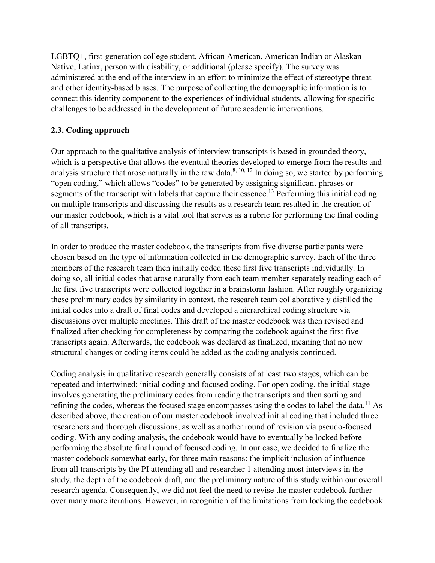LGBTQ+, first-generation college student, African American, American Indian or Alaskan Native, Latinx, person with disability, or additional (please specify). The survey was administered at the end of the interview in an effort to minimize the effect of stereotype threat and other identity-based biases. The purpose of collecting the demographic information is to connect this identity component to the experiences of individual students, allowing for specific challenges to be addressed in the development of future academic interventions.

# **2.3. Coding approach**

Our approach to the qualitative analysis of interview transcripts is based in grounded theory, which is a perspective that allows the eventual theories developed to emerge from the results and analysis structure that arose naturally in the raw data.<sup>8, 10, 12</sup> In doing so, we started by performing "open coding," which allows "codes" to be generated by assigning significant phrases or segments of the transcript with labels that capture their essence.<sup>13</sup> Performing this initial coding on multiple transcripts and discussing the results as a research team resulted in the creation of our master codebook, which is a vital tool that serves as a rubric for performing the final coding of all transcripts.

In order to produce the master codebook, the transcripts from five diverse participants were chosen based on the type of information collected in the demographic survey. Each of the three members of the research team then initially coded these first five transcripts individually. In doing so, all initial codes that arose naturally from each team member separately reading each of the first five transcripts were collected together in a brainstorm fashion. After roughly organizing these preliminary codes by similarity in context, the research team collaboratively distilled the initial codes into a draft of final codes and developed a hierarchical coding structure via discussions over multiple meetings. This draft of the master codebook was then revised and finalized after checking for completeness by comparing the codebook against the first five transcripts again. Afterwards, the codebook was declared as finalized, meaning that no new structural changes or coding items could be added as the coding analysis continued.

Coding analysis in qualitative research generally consists of at least two stages, which can be repeated and intertwined: initial coding and focused coding. For open coding, the initial stage involves generating the preliminary codes from reading the transcripts and then sorting and refining the codes, whereas the focused stage encompasses using the codes to label the data.<sup>11</sup> As described above, the creation of our master codebook involved initial coding that included three researchers and thorough discussions, as well as another round of revision via pseudo-focused coding. With any coding analysis, the codebook would have to eventually be locked before performing the absolute final round of focused coding. In our case, we decided to finalize the master codebook somewhat early, for three main reasons: the implicit inclusion of influence from all transcripts by the PI attending all and researcher 1 attending most interviews in the study, the depth of the codebook draft, and the preliminary nature of this study within our overall research agenda. Consequently, we did not feel the need to revise the master codebook further over many more iterations. However, in recognition of the limitations from locking the codebook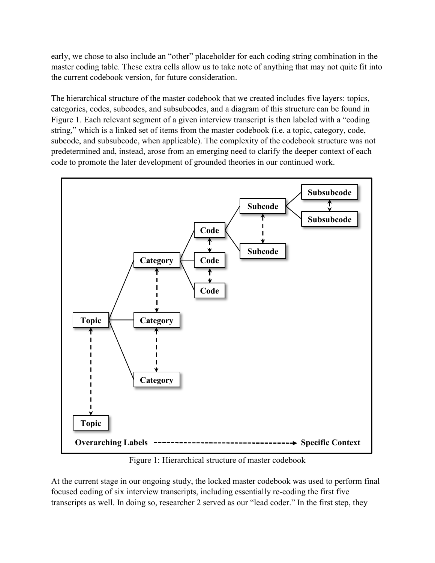early, we chose to also include an "other" placeholder for each coding string combination in the master coding table. These extra cells allow us to take note of anything that may not quite fit into the current codebook version, for future consideration.

The hierarchical structure of the master codebook that we created includes five layers: topics, categories, codes, subcodes, and subsubcodes, and a diagram of this structure can be found in Figure 1. Each relevant segment of a given interview transcript is then labeled with a "coding string," which is a linked set of items from the master codebook (i.e. a topic, category, code, subcode, and subsubcode, when applicable). The complexity of the codebook structure was not predetermined and, instead, arose from an emerging need to clarify the deeper context of each code to promote the later development of grounded theories in our continued work.



Figure 1: Hierarchical structure of master codebook

At the current stage in our ongoing study, the locked master codebook was used to perform final focused coding of six interview transcripts, including essentially re-coding the first five transcripts as well. In doing so, researcher 2 served as our "lead coder." In the first step, they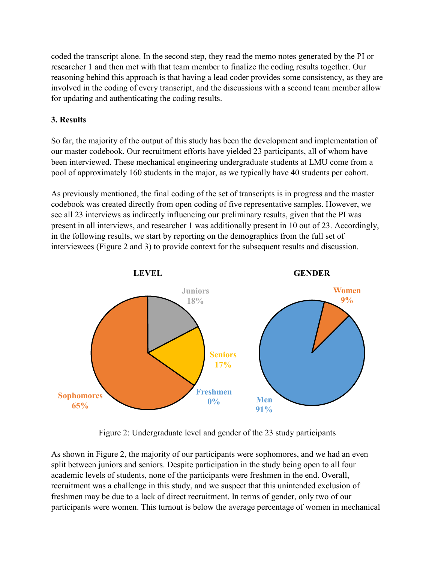coded the transcript alone. In the second step, they read the memo notes generated by the PI or researcher 1 and then met with that team member to finalize the coding results together. Our reasoning behind this approach is that having a lead coder provides some consistency, as they are involved in the coding of every transcript, and the discussions with a second team member allow for updating and authenticating the coding results.

# **3. Results**

So far, the majority of the output of this study has been the development and implementation of our master codebook. Our recruitment efforts have yielded 23 participants, all of whom have been interviewed. These mechanical engineering undergraduate students at LMU come from a pool of approximately 160 students in the major, as we typically have 40 students per cohort.

As previously mentioned, the final coding of the set of transcripts is in progress and the master codebook was created directly from open coding of five representative samples. However, we see all 23 interviews as indirectly influencing our preliminary results, given that the PI was present in all interviews, and researcher 1 was additionally present in 10 out of 23. Accordingly, in the following results, we start by reporting on the demographics from the full set of interviewees (Figure 2 and 3) to provide context for the subsequent results and discussion.



Figure 2: Undergraduate level and gender of the 23 study participants

As shown in Figure 2, the majority of our participants were sophomores, and we had an even split between juniors and seniors. Despite participation in the study being open to all four academic levels of students, none of the participants were freshmen in the end. Overall, recruitment was a challenge in this study, and we suspect that this unintended exclusion of freshmen may be due to a lack of direct recruitment. In terms of gender, only two of our participants were women. This turnout is below the average percentage of women in mechanical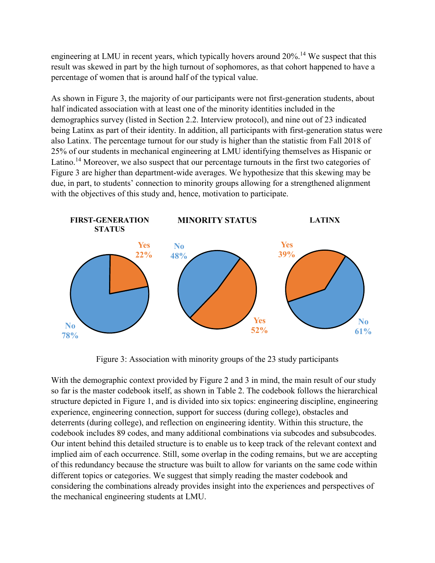engineering at LMU in recent years, which typically hovers around 20%.<sup>14</sup> We suspect that this result was skewed in part by the high turnout of sophomores, as that cohort happened to have a percentage of women that is around half of the typical value.

As shown in Figure 3, the majority of our participants were not first-generation students, about half indicated association with at least one of the minority identities included in the demographics survey (listed in Section 2.2. Interview protocol), and nine out of 23 indicated being Latinx as part of their identity. In addition, all participants with first-generation status were also Latinx. The percentage turnout for our study is higher than the statistic from Fall 2018 of 25% of our students in mechanical engineering at LMU identifying themselves as Hispanic or Latino.<sup>14</sup> Moreover, we also suspect that our percentage turnouts in the first two categories of Figure 3 are higher than department-wide averages. We hypothesize that this skewing may be due, in part, to students' connection to minority groups allowing for a strengthened alignment with the objectives of this study and, hence, motivation to participate.



Figure 3: Association with minority groups of the 23 study participants

With the demographic context provided by Figure 2 and 3 in mind, the main result of our study so far is the master codebook itself, as shown in Table 2. The codebook follows the hierarchical structure depicted in Figure 1, and is divided into six topics: engineering discipline, engineering experience, engineering connection, support for success (during college), obstacles and deterrents (during college), and reflection on engineering identity. Within this structure, the codebook includes 89 codes, and many additional combinations via subcodes and subsubcodes. Our intent behind this detailed structure is to enable us to keep track of the relevant context and implied aim of each occurrence. Still, some overlap in the coding remains, but we are accepting of this redundancy because the structure was built to allow for variants on the same code within different topics or categories. We suggest that simply reading the master codebook and considering the combinations already provides insight into the experiences and perspectives of the mechanical engineering students at LMU.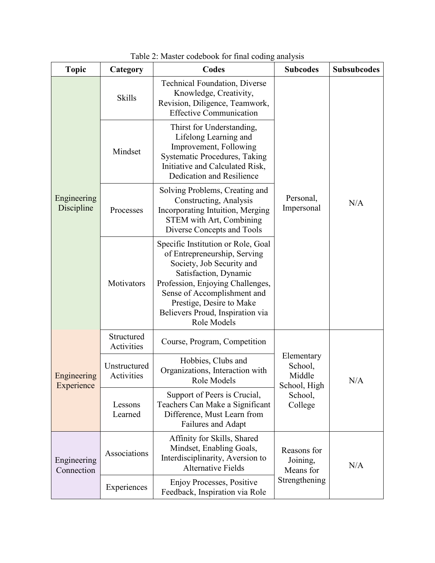| <b>Topic</b>              | Category                   | Codes                                                                                                                                                                                                                                                                      | <b>Subcodes</b>                                 | <b>Subsubcodes</b> |
|---------------------------|----------------------------|----------------------------------------------------------------------------------------------------------------------------------------------------------------------------------------------------------------------------------------------------------------------------|-------------------------------------------------|--------------------|
| Engineering<br>Discipline | <b>Skills</b>              | <b>Technical Foundation, Diverse</b><br>Knowledge, Creativity,<br>Revision, Diligence, Teamwork,<br><b>Effective Communication</b>                                                                                                                                         |                                                 | N/A                |
|                           | Mindset                    | Thirst for Understanding,<br>Lifelong Learning and<br>Improvement, Following<br><b>Systematic Procedures, Taking</b><br>Initiative and Calculated Risk,<br>Dedication and Resilience                                                                                       |                                                 |                    |
|                           | Processes                  | Solving Problems, Creating and<br>Constructing, Analysis<br>Incorporating Intuition, Merging<br>STEM with Art, Combining<br>Diverse Concepts and Tools                                                                                                                     | Personal,<br>Impersonal                         |                    |
|                           | Motivators                 | Specific Institution or Role, Goal<br>of Entrepreneurship, Serving<br>Society, Job Security and<br>Satisfaction, Dynamic<br>Profession, Enjoying Challenges,<br>Sense of Accomplishment and<br>Prestige, Desire to Make<br>Believers Proud, Inspiration via<br>Role Models |                                                 |                    |
| Engineering<br>Experience | Structured<br>Activities   | Course, Program, Competition                                                                                                                                                                                                                                               |                                                 | N/A                |
|                           | Unstructured<br>Activities | Hobbies, Clubs and<br>Organizations, Interaction with<br>Role Models                                                                                                                                                                                                       | Elementary<br>School,<br>Middle<br>School, High |                    |
|                           | Lessons<br>Learned         | Support of Peers is Crucial,<br>Teachers Can Make a Significant<br>Difference, Must Learn from<br>Failures and Adapt                                                                                                                                                       | School,<br>College                              |                    |
| Engineering<br>Connection | Associations               | Affinity for Skills, Shared<br>Mindset, Enabling Goals,<br>Interdisciplinarity, Aversion to<br><b>Alternative Fields</b>                                                                                                                                                   | Reasons for<br>Joining,<br>Means for            | N/A                |
|                           | Experiences                | Enjoy Processes, Positive<br>Feedback, Inspiration via Role                                                                                                                                                                                                                | Strengthening                                   |                    |

Table 2: Master codebook for final coding analysis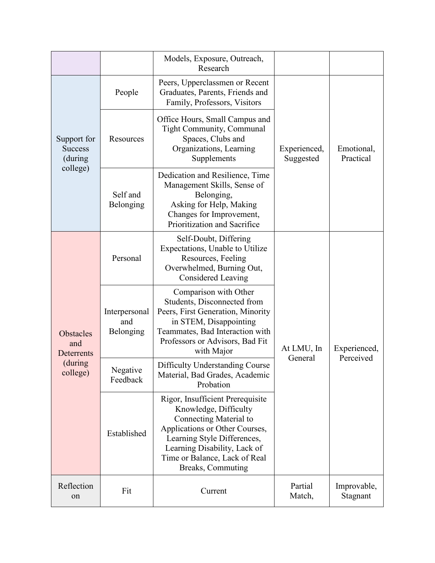|                                                              |                                   | Models, Exposure, Outreach,<br>Research                                                                                                                                                                                                    |                           |                           |
|--------------------------------------------------------------|-----------------------------------|--------------------------------------------------------------------------------------------------------------------------------------------------------------------------------------------------------------------------------------------|---------------------------|---------------------------|
| Support for<br><b>Success</b><br>(during)<br>college)        | People                            | Peers, Upperclassmen or Recent<br>Graduates, Parents, Friends and<br>Family, Professors, Visitors                                                                                                                                          |                           | Emotional,<br>Practical   |
|                                                              | Resources                         | Office Hours, Small Campus and<br><b>Tight Community, Communal</b><br>Spaces, Clubs and<br>Organizations, Learning<br>Supplements                                                                                                          | Experienced,<br>Suggested |                           |
|                                                              | Self and<br>Belonging             | Dedication and Resilience, Time<br>Management Skills, Sense of<br>Belonging,<br>Asking for Help, Making<br>Changes for Improvement,<br>Prioritization and Sacrifice                                                                        |                           |                           |
| <b>Obstacles</b><br>and<br>Deterrents<br>(during<br>college) | Personal                          | Self-Doubt, Differing<br>Expectations, Unable to Utilize<br>Resources, Feeling<br>Overwhelmed, Burning Out,<br><b>Considered Leaving</b>                                                                                                   |                           | Experienced,<br>Perceived |
|                                                              | Interpersonal<br>and<br>Belonging | Comparison with Other<br>Students, Disconnected from<br>Peers, First Generation, Minority<br>in STEM, Disappointing<br>Teammates, Bad Interaction with<br>Professors or Advisors, Bad Fit<br>with Major                                    | At LMU, In                |                           |
|                                                              | Negative<br>Feedback              | <b>Difficulty Understanding Course</b><br>Material, Bad Grades, Academic<br>Probation                                                                                                                                                      | General                   |                           |
|                                                              | Established                       | Rigor, Insufficient Prerequisite<br>Knowledge, Difficulty<br>Connecting Material to<br>Applications or Other Courses,<br>Learning Style Differences,<br>Learning Disability, Lack of<br>Time or Balance, Lack of Real<br>Breaks, Commuting |                           |                           |
| Reflection<br>on                                             | Fit                               | Current                                                                                                                                                                                                                                    | Partial<br>Match,         | Improvable,<br>Stagnant   |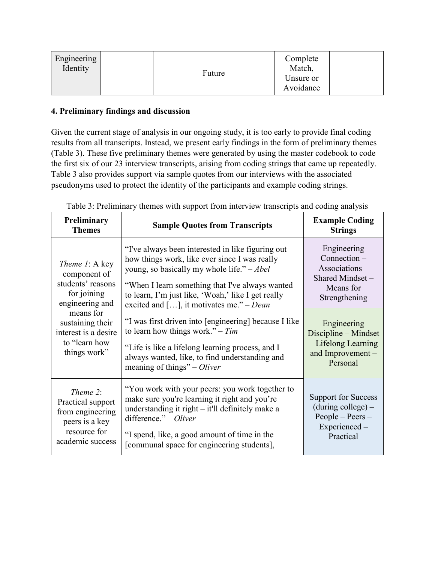| Engineering<br>Identity | Future | Complete<br>Match,<br>Unsure or<br>Avoidance |  |
|-------------------------|--------|----------------------------------------------|--|
|-------------------------|--------|----------------------------------------------|--|

# **4. Preliminary findings and discussion**

Given the current stage of analysis in our ongoing study, it is too early to provide final coding results from all transcripts. Instead, we present early findings in the form of preliminary themes (Table 3). These five preliminary themes were generated by using the master codebook to code the first six of our 23 interview transcripts, arising from coding strings that came up repeatedly. Table 3 also provides support via sample quotes from our interviews with the associated pseudonyms used to protect the identity of the participants and example coding strings.

| Preliminary<br><b>Themes</b>                                                                                                                                                    | <b>Sample Quotes from Transcripts</b>                                                                                                                                                                                                                                                                                                                                                                                                                                                                                                      | <b>Example Coding</b><br><b>Strings</b>                                                                                                                                                      |
|---------------------------------------------------------------------------------------------------------------------------------------------------------------------------------|--------------------------------------------------------------------------------------------------------------------------------------------------------------------------------------------------------------------------------------------------------------------------------------------------------------------------------------------------------------------------------------------------------------------------------------------------------------------------------------------------------------------------------------------|----------------------------------------------------------------------------------------------------------------------------------------------------------------------------------------------|
| Theme 1: A key<br>component of<br>students' reasons<br>for joining<br>engineering and<br>means for<br>sustaining their<br>interest is a desire<br>to "learn how<br>things work" | "I've always been interested in like figuring out<br>how things work, like ever since I was really<br>young, so basically my whole life." $-Abel$<br>"When I learn something that I've always wanted<br>to learn, I'm just like, 'Woah,' like I get really<br>excited and [], it motivates me." – Dean<br>"I was first driven into [engineering] because I like<br>to learn how things work." – $Tim$<br>"Life is like a lifelong learning process, and I<br>always wanted, like, to find understanding and<br>meaning of things" – Oliver | Engineering<br>Connection -<br>Associations-<br>Shared Mindset -<br>Means for<br>Strengthening<br>Engineering<br>Discipline – Mindset<br>- Lifelong Learning<br>and Improvement-<br>Personal |
| Theme 2:<br>Practical support<br>from engineering<br>peers is a key<br>resource for<br>academic success                                                                         | "You work with your peers: you work together to<br>make sure you're learning it right and you're<br>understanding it right – it'll definitely make a<br>difference." $-O liver$<br>"I spend, like, a good amount of time in the<br>[communal space for engineering students],                                                                                                                                                                                                                                                              | <b>Support for Success</b><br>$(during college) -$<br>$People - Peers -$<br>Experienced-<br>Practical                                                                                        |

Table 3: Preliminary themes with support from interview transcripts and coding analysis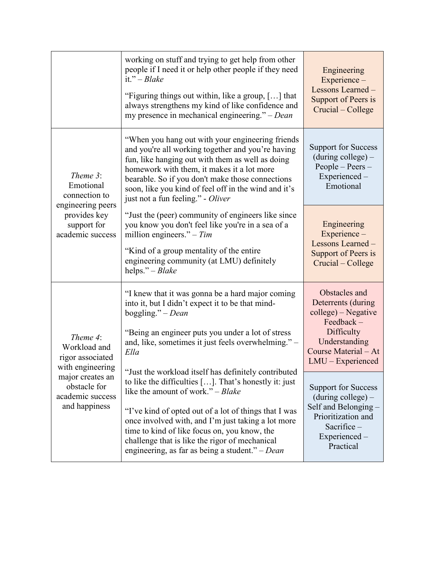|                                                                                                                                           | working on stuff and trying to get help from other<br>people if I need it or help other people if they need<br>it." $-B\alpha k$ e<br>"Figuring things out within, like a group, [] that<br>always strengthens my kind of like confidence and<br>my presence in mechanical engineering." $-Dean$                                                                                                                                                                                                                                                                                                                                                                              | Engineering<br>Experience-<br>Lessons Learned -<br>Support of Peers is<br>Crucial – College                                                                                                                                                                                                           |
|-------------------------------------------------------------------------------------------------------------------------------------------|-------------------------------------------------------------------------------------------------------------------------------------------------------------------------------------------------------------------------------------------------------------------------------------------------------------------------------------------------------------------------------------------------------------------------------------------------------------------------------------------------------------------------------------------------------------------------------------------------------------------------------------------------------------------------------|-------------------------------------------------------------------------------------------------------------------------------------------------------------------------------------------------------------------------------------------------------------------------------------------------------|
| Theme 3:<br>Emotional<br>connection to<br>engineering peers<br>provides key<br>support for<br>academic success                            | "When you hang out with your engineering friends<br>and you're all working together and you're having<br>fun, like hanging out with them as well as doing<br>homework with them, it makes it a lot more<br>bearable. So if you don't make those connections<br>soon, like you kind of feel off in the wind and it's<br>just not a fun feeling." - Oliver                                                                                                                                                                                                                                                                                                                      | <b>Support for Success</b><br>$(during college) -$<br>$People - Peers -$<br>Experienced-<br>Emotional                                                                                                                                                                                                 |
|                                                                                                                                           | "Just the (peer) community of engineers like since<br>you know you don't feel like you're in a sea of a<br>million engineers." $- Tim$<br>"Kind of a group mentality of the entire"<br>engineering community (at LMU) definitely<br>helps." - Blake                                                                                                                                                                                                                                                                                                                                                                                                                           | Engineering<br>Experience-<br>Lessons Learned -<br>Support of Peers is<br>Crucial – College                                                                                                                                                                                                           |
| Theme 4:<br>Workload and<br>rigor associated<br>with engineering<br>major creates an<br>obstacle for<br>academic success<br>and happiness | "I knew that it was gonna be a hard major coming<br>into it, but I didn't expect it to be that mind-<br>boggling." $-Dean$<br>"Being an engineer puts you under a lot of stress<br>and, like, sometimes it just feels overwhelming." -<br>Ella<br>"Just the workload itself has definitely contributed<br>to like the difficulties $[]$ . That's honestly it: just<br>like the amount of work." $-Blake$<br>"I've kind of opted out of a lot of things that I was<br>once involved with, and I'm just taking a lot more<br>time to kind of like focus on, you know, the<br>challenge that is like the rigor of mechanical<br>engineering, as far as being a student." $-Dean$ | Obstacles and<br>Deterrents (during<br>college) – Negative<br>Feedback-<br>Difficulty<br>Understanding<br>Course Material - At<br>$LMU$ – Experienced<br><b>Support for Success</b><br>$(during college) -$<br>Self and Belonging -<br>Prioritization and<br>Sacrifice-<br>Experienced -<br>Practical |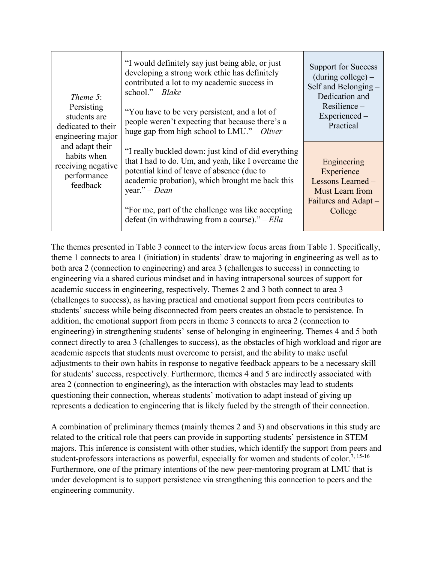| Theme 5:<br>Persisting<br>students are<br>dedicated to their<br>engineering major<br>and adapt their<br>habits when<br>receiving negative<br>performance<br>feedback | "I would definitely say just being able, or just<br>developing a strong work ethic has definitely<br>contributed a lot to my academic success in<br>school." $-B\alpha ke$<br>"You have to be very persistent, and a lot of<br>people weren't expecting that because there's a<br>huge gap from high school to $LMU$ ." – Oliver       | <b>Support for Success</b><br>$(during college) -$<br>Self and Belonging -<br>Dedication and<br>$Resilience -$<br>Experienced-<br>Practical |
|----------------------------------------------------------------------------------------------------------------------------------------------------------------------|----------------------------------------------------------------------------------------------------------------------------------------------------------------------------------------------------------------------------------------------------------------------------------------------------------------------------------------|---------------------------------------------------------------------------------------------------------------------------------------------|
|                                                                                                                                                                      | "I really buckled down: just kind of did everything<br>that I had to do. Um, and yeah, like I overcame the<br>potential kind of leave of absence (due to<br>academic probation), which brought me back this<br>year." $-Dean$<br>"For me, part of the challenge was like accepting<br>defeat (in withdrawing from a course)." $-$ Ella | Engineering<br>Experience -<br>Lessons Learned -<br>Must Learn from<br>Failures and Adapt -<br>College                                      |

The themes presented in Table 3 connect to the interview focus areas from Table 1. Specifically, theme 1 connects to area 1 (initiation) in students' draw to majoring in engineering as well as to both area 2 (connection to engineering) and area 3 (challenges to success) in connecting to engineering via a shared curious mindset and in having intrapersonal sources of support for academic success in engineering, respectively. Themes 2 and 3 both connect to area 3 (challenges to success), as having practical and emotional support from peers contributes to students' success while being disconnected from peers creates an obstacle to persistence. In addition, the emotional support from peers in theme 3 connects to area 2 (connection to engineering) in strengthening students' sense of belonging in engineering. Themes 4 and 5 both connect directly to area 3 (challenges to success), as the obstacles of high workload and rigor are academic aspects that students must overcome to persist, and the ability to make useful adjustments to their own habits in response to negative feedback appears to be a necessary skill for students' success, respectively. Furthermore, themes 4 and 5 are indirectly associated with area 2 (connection to engineering), as the interaction with obstacles may lead to students questioning their connection, whereas students' motivation to adapt instead of giving up represents a dedication to engineering that is likely fueled by the strength of their connection.

A combination of preliminary themes (mainly themes 2 and 3) and observations in this study are related to the critical role that peers can provide in supporting students' persistence in STEM majors. This inference is consistent with other studies, which identify the support from peers and student-professors interactions as powerful, especially for women and students of color.<sup>7, 15-16</sup> Furthermore, one of the primary intentions of the new peer-mentoring program at LMU that is under development is to support persistence via strengthening this connection to peers and the engineering community.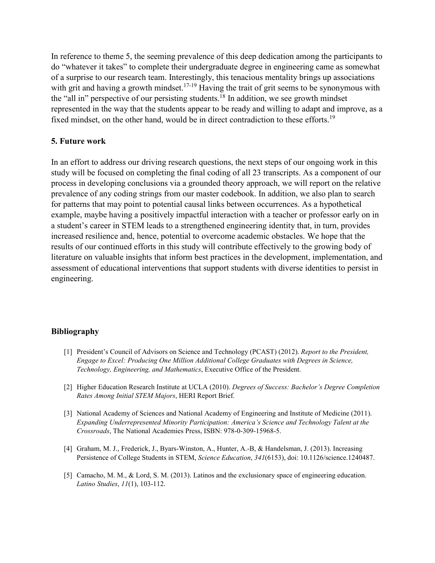In reference to theme 5, the seeming prevalence of this deep dedication among the participants to do "whatever it takes" to complete their undergraduate degree in engineering came as somewhat of a surprise to our research team. Interestingly, this tenacious mentality brings up associations with grit and having a growth mindset.<sup>17-19</sup> Having the trait of grit seems to be synonymous with the "all in" perspective of our persisting students.<sup>18</sup> In addition, we see growth mindset represented in the way that the students appear to be ready and willing to adapt and improve, as a fixed mindset, on the other hand, would be in direct contradiction to these efforts.<sup>19</sup>

# **5. Future work**

In an effort to address our driving research questions, the next steps of our ongoing work in this study will be focused on completing the final coding of all 23 transcripts. As a component of our process in developing conclusions via a grounded theory approach, we will report on the relative prevalence of any coding strings from our master codebook. In addition, we also plan to search for patterns that may point to potential causal links between occurrences. As a hypothetical example, maybe having a positively impactful interaction with a teacher or professor early on in a student's career in STEM leads to a strengthened engineering identity that, in turn, provides increased resilience and, hence, potential to overcome academic obstacles. We hope that the results of our continued efforts in this study will contribute effectively to the growing body of literature on valuable insights that inform best practices in the development, implementation, and assessment of educational interventions that support students with diverse identities to persist in engineering.

# **Bibliography**

- [1] President's Council of Advisors on Science and Technology (PCAST) (2012). *Report to the President, Engage to Excel: Producing One Million Additional College Graduates with Degrees in Science, Technology, Engineering, and Mathematics*, Executive Office of the President.
- [2] Higher Education Research Institute at UCLA (2010). *Degrees of Success: Bachelor's Degree Completion Rates Among Initial STEM Majors*, HERI Report Brief.
- [3] National Academy of Sciences and National Academy of Engineering and Institute of Medicine (2011). *Expanding Underrepresented Minority Participation: America's Science and Technology Talent at the Crossroads*, The National Academies Press, ISBN: 978-0-309-15968-5.
- [4] Graham, M. J., Frederick, J., Byars-Winston, A., Hunter, A.-B, & Handelsman, J. (2013). Increasing Persistence of College Students in STEM, *Science Education*, *341*(6153), doi: 10.1126/science.1240487.
- [5] Camacho, M. M., & Lord, S. M. (2013). Latinos and the exclusionary space of engineering education. *Latino Studies*, *11*(1), 103-112.